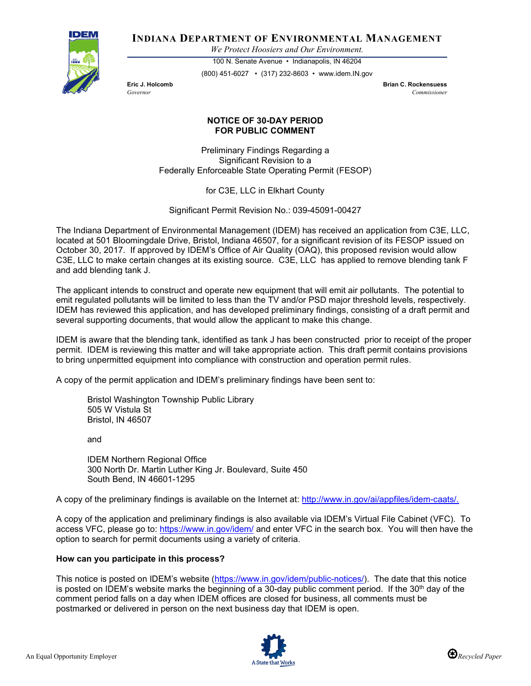

**INDIANA DEPARTMENT OF ENVIRONMENTAL MANAGEMENT**

*We Protect Hoosiers and Our Environment.*

100 N. Senate Avenue • Indianapolis, IN 46204 (800) 451-6027 • (317) 232-8603 • www.idem.IN.gov

**Eric J. Holcomb Brian C. Rockensuess** *Governor Commissioner* 

## **NOTICE OF 30-DAY PERIOD FOR PUBLIC COMMENT**

Preliminary Findings Regarding a Significant Revision to a Federally Enforceable State Operating Permit (FESOP)

for C3E, LLC in Elkhart County

Significant Permit Revision No.: 039-45091-00427

The Indiana Department of Environmental Management (IDEM) has received an application from C3E, LLC, located at 501 Bloomingdale Drive, Bristol, Indiana 46507, for a significant revision of its FESOP issued on October 30, 2017. If approved by IDEM's Office of Air Quality (OAQ), this proposed revision would allow C3E, LLC to make certain changes at its existing source. C3E, LLC has applied to remove blending tank F and add blending tank J.

The applicant intends to construct and operate new equipment that will emit air pollutants. The potential to emit regulated pollutants will be limited to less than the TV and/or PSD major threshold levels, respectively. IDEM has reviewed this application, and has developed preliminary findings, consisting of a draft permit and several supporting documents, that would allow the applicant to make this change.

IDEM is aware that the blending tank, identified as tank J has been constructed prior to receipt of the proper permit. IDEM is reviewing this matter and will take appropriate action. This draft permit contains provisions to bring unpermitted equipment into compliance with construction and operation permit rules.

A copy of the permit application and IDEM's preliminary findings have been sent to:

Bristol Washington Township Public Library 505 W Vistula St Bristol, IN 46507

and

IDEM Northern Regional Office 300 North Dr. Martin Luther King Jr. Boulevard, Suite 450 South Bend, IN 46601-1295

A copy of the preliminary findings is available on the Internet at: [http://www.in.gov/ai/appfiles/idem-caats/.](http://www.in.gov/ai/appfiles/idem-caats/)

A copy of the application and preliminary findings is also available via IDEM's Virtual File Cabinet (VFC). To access VFC, please go to:<https://www.in.gov/idem/> and enter VFC in the search box. You will then have the option to search for permit documents using a variety of criteria.

## **How can you participate in this process?**

This notice is posted on IDEM's website [\(https://www.in.gov/idem/public-notices/\)](https://www.in.gov/idem/public-notices/). The date that this notice is posted on IDEM's website marks the beginning of a 30-day public comment period. If the  $30<sup>th</sup>$  day of the comment period falls on a day when IDEM offices are closed for business, all comments must be postmarked or delivered in person on the next business day that IDEM is open.